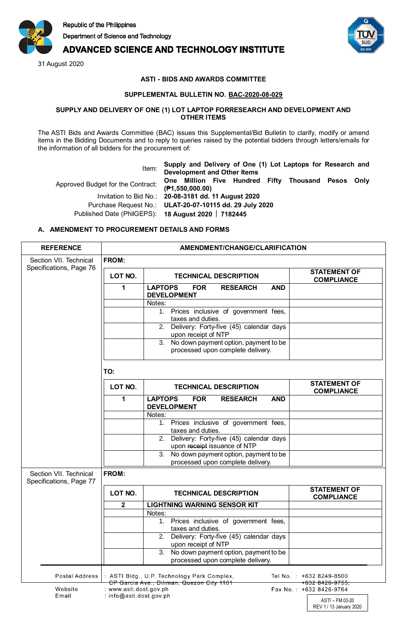

# **ADVANCED SCIENCE AND TECHNOLOGY INSTITUTE**

31 August 2020



REV 1 / 13 January 2020

## **ASTI - BIDS AND AWARDS COMMITTEE**

#### **SUPPLEMENTAL BULLETIN NO. BAC-2020-08-029**

#### **SUPPLY AND DELIVERY OF ONE (1) LOT LAPTOP FORRESEARCH AND DEVELOPMENT AND OTHER ITEMS**

The ASTI Bids and Awards Committee (BAC) issues this Supplemental/Bid Bulletin to clarify, modify or amend items in the Bidding Documents and to reply to queries raised by the potential bidders through letters/emails for the information of all bidders for the procurement of:

Item: **Supply and Delivery of One (1) Lot Laptops for Research and Development and Other Items** Approved Budget for the Contract: **One Million Five Hundred Fifty Thousand Pesos Only (₱1,550,000.00)** Invitation to Bid No.: **20-08-3181 dd. 11 August 2020** Purchase Request No.: **ULAT-20-07-10115 dd. 29 July 2020** Published Date (PhilGEPS): **18 August 2020 7182445**

### **A. AMENDMENT TO PROCUREMENT DETAILS AND FORMS**

| <b>REFERENCE</b>                                  | AMENDMENT/CHANGE/CLARIFICATION |                                                                                                 |                                            |  |
|---------------------------------------------------|--------------------------------|-------------------------------------------------------------------------------------------------|--------------------------------------------|--|
| Section VII. Technical<br>Specifications, Page 76 | FROM:                          |                                                                                                 |                                            |  |
|                                                   | LOT NO.                        | <b>TECHNICAL DESCRIPTION</b>                                                                    | <b>STATEMENT OF</b><br><b>COMPLIANCE</b>   |  |
|                                                   | 1                              | <b>LAPTOPS</b><br><b>FOR</b><br><b>RESEARCH</b><br><b>AND</b><br><b>DEVELOPMENT</b>             |                                            |  |
|                                                   |                                | Notes:<br>1. Prices inclusive of government fees,<br>taxes and duties.                          |                                            |  |
|                                                   |                                | 2. Delivery: Forty-five (45) calendar days<br>upon receipt of NTP                               |                                            |  |
|                                                   |                                | 3. No down payment option, payment to be<br>processed upon complete delivery.                   |                                            |  |
|                                                   | TO:                            |                                                                                                 |                                            |  |
|                                                   | LOT NO.                        | <b>TECHNICAL DESCRIPTION</b>                                                                    | <b>STATEMENT OF</b><br><b>COMPLIANCE</b>   |  |
|                                                   | 1                              | <b>LAPTOPS</b><br><b>FOR</b><br><b>RESEARCH</b><br><b>AND</b><br><b>DEVELOPMENT</b>             |                                            |  |
|                                                   |                                | Notes:<br>Prices inclusive of government fees,<br>1.                                            |                                            |  |
|                                                   |                                | taxes and duties.<br>2. Delivery: Forty-five (45) calendar days<br>upon receipt issuance of NTP |                                            |  |
|                                                   |                                | 3. No down payment option, payment to be<br>processed upon complete delivery.                   |                                            |  |
| Section VII. Technical<br>Specifications, Page 77 | FROM:                          |                                                                                                 |                                            |  |
|                                                   | LOT NO.                        | <b>TECHNICAL DESCRIPTION</b>                                                                    | <b>STATEMENT OF</b><br><b>COMPLIANCE</b>   |  |
|                                                   | 2                              | <b>LIGHTNING WARNING SENSOR KIT</b><br>Notes:                                                   |                                            |  |
|                                                   |                                | 1. Prices inclusive of government fees,<br>taxes and duties.                                    |                                            |  |
|                                                   |                                | 2. Delivery: Forty-five (45) calendar days<br>upon receipt of NTP                               |                                            |  |
|                                                   |                                | No down payment option, payment to be<br>3.<br>processed upon complete delivery.                |                                            |  |
| <b>Postal Address</b>                             |                                | : ASTI Bldg., U.P. Technology Park Complex,<br>CP Garcia Ave., Diliman, Quezon City 1101        | Tel No.: +632 8249-8500<br>+632 8426-9755; |  |
| Website                                           | : www.asti.dost.gov.ph         |                                                                                                 | Fax No.: +632 8426-9764                    |  |
| Email                                             | : info@asti.dost.gov.ph        |                                                                                                 | ASTI - FM 03-20                            |  |